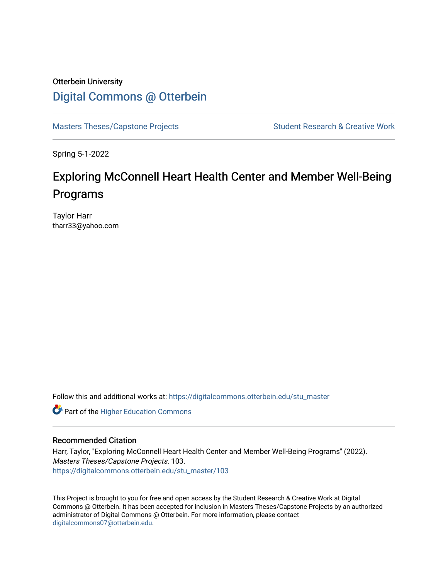### Otterbein University [Digital Commons @ Otterbein](https://digitalcommons.otterbein.edu/)

[Masters Theses/Capstone Projects](https://digitalcommons.otterbein.edu/stu_master) Student Research & Creative Work

Spring 5-1-2022

### Exploring McConnell Heart Health Center and Member Well-Being Programs

Taylor Harr tharr33@yahoo.com

Follow this and additional works at: [https://digitalcommons.otterbein.edu/stu\\_master](https://digitalcommons.otterbein.edu/stu_master?utm_source=digitalcommons.otterbein.edu%2Fstu_master%2F103&utm_medium=PDF&utm_campaign=PDFCoverPages) 

**Part of the Higher Education Commons** 

#### Recommended Citation

Harr, Taylor, "Exploring McConnell Heart Health Center and Member Well-Being Programs" (2022). Masters Theses/Capstone Projects. 103. [https://digitalcommons.otterbein.edu/stu\\_master/103](https://digitalcommons.otterbein.edu/stu_master/103?utm_source=digitalcommons.otterbein.edu%2Fstu_master%2F103&utm_medium=PDF&utm_campaign=PDFCoverPages) 

This Project is brought to you for free and open access by the Student Research & Creative Work at Digital Commons @ Otterbein. It has been accepted for inclusion in Masters Theses/Capstone Projects by an authorized administrator of Digital Commons @ Otterbein. For more information, please contact [digitalcommons07@otterbein.edu](mailto:digitalcommons07@otterbein.edu).